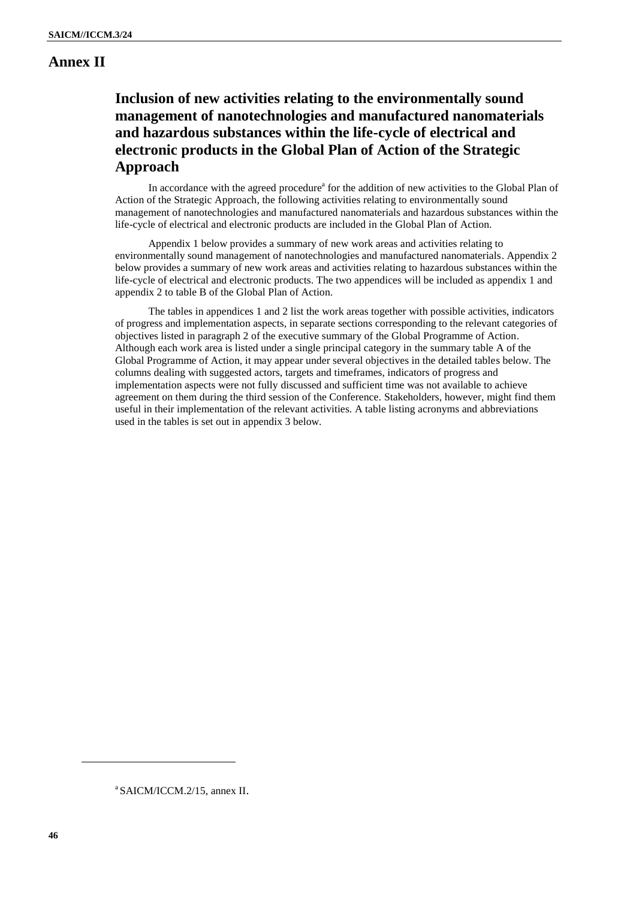#### **Annex II**

#### **Inclusion of new activities relating to the environmentally sound management of nanotechnologies and manufactured nanomaterials and hazardous substances within the life-cycle of electrical and electronic products in the Global Plan of Action of the Strategic Approach**

In accordance with the agreed procedure<sup>a</sup> for the addition of new activities to the Global Plan of Action of the Strategic Approach, the following activities relating to environmentally sound management of nanotechnologies and manufactured nanomaterials and hazardous substances within the life-cycle of electrical and electronic products are included in the Global Plan of Action.

Appendix 1 below provides a summary of new work areas and activities relating to environmentally sound management of nanotechnologies and manufactured nanomaterials. Appendix 2 below provides a summary of new work areas and activities relating to hazardous substances within the life-cycle of electrical and electronic products. The two appendices will be included as appendix 1 and appendix 2 to table B of the Global Plan of Action.

The tables in appendices 1 and 2 list the work areas together with possible activities, indicators of progress and implementation aspects, in separate sections corresponding to the relevant categories of objectives listed in paragraph 2 of the executive summary of the Global Programme of Action. Although each work area is listed under a single principal category in the summary table A of the Global Programme of Action, it may appear under several objectives in the detailed tables below. The columns dealing with suggested actors, targets and timeframes, indicators of progress and implementation aspects were not fully discussed and sufficient time was not available to achieve agreement on them during the third session of the Conference. Stakeholders, however, might find them useful in their implementation of the relevant activities. A table listing acronyms and abbreviations used in the tables is set out in appendix 3 below.

a SAICM/ICCM.2/15, annex II.

 $\overline{a}$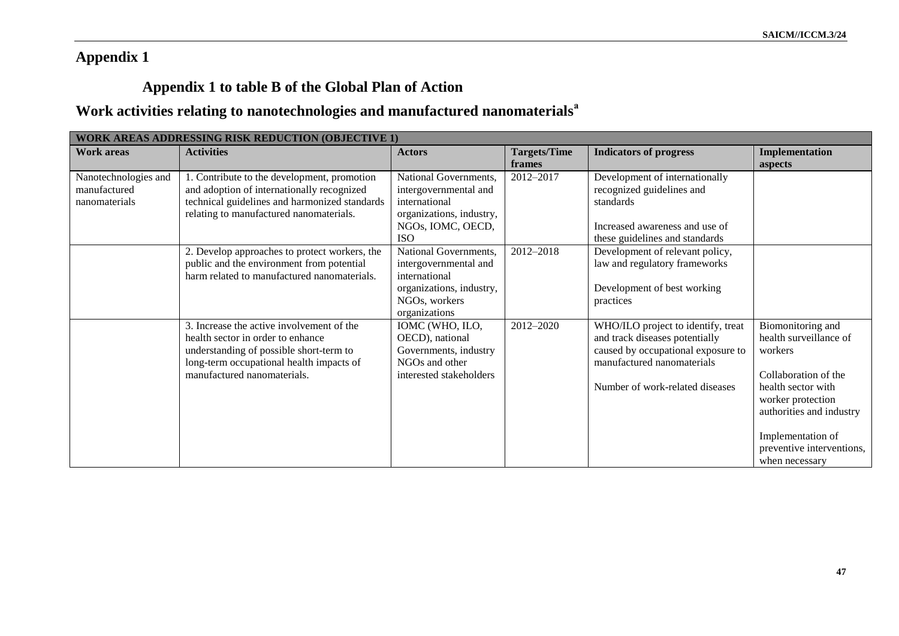### **Appendix 1**

## **Appendix 1 to table B of the Global Plan of Action**

# **Work activities relating to nanotechnologies and manufactured nanomaterials<sup>a</sup>**

| <b>WORK AREAS ADDRESSING RISK REDUCTION (OBJECTIVE 1)</b> |                                               |                          |                     |                                    |                           |
|-----------------------------------------------------------|-----------------------------------------------|--------------------------|---------------------|------------------------------------|---------------------------|
| <b>Work areas</b>                                         | <b>Activities</b>                             | <b>Actors</b>            | <b>Targets/Time</b> | <b>Indicators of progress</b>      | Implementation            |
|                                                           |                                               |                          | frames              |                                    | aspects                   |
| Nanotechnologies and                                      | 1. Contribute to the development, promotion   | National Governments,    | 2012-2017           | Development of internationally     |                           |
| manufactured                                              | and adoption of internationally recognized    | intergovernmental and    |                     | recognized guidelines and          |                           |
| nanomaterials                                             | technical guidelines and harmonized standards | international            |                     | standards                          |                           |
|                                                           | relating to manufactured nanomaterials.       | organizations, industry, |                     |                                    |                           |
|                                                           |                                               | NGOs, IOMC, OECD,        |                     | Increased awareness and use of     |                           |
|                                                           |                                               | <b>ISO</b>               |                     | these guidelines and standards     |                           |
|                                                           | 2. Develop approaches to protect workers, the | National Governments,    | 2012-2018           | Development of relevant policy,    |                           |
|                                                           | public and the environment from potential     | intergovernmental and    |                     | law and regulatory frameworks      |                           |
|                                                           | harm related to manufactured nanomaterials.   | international            |                     |                                    |                           |
|                                                           |                                               | organizations, industry, |                     | Development of best working        |                           |
|                                                           |                                               | NGOs, workers            |                     | practices                          |                           |
|                                                           |                                               | organizations            |                     |                                    |                           |
|                                                           | 3. Increase the active involvement of the     | IOMC (WHO, ILO,          | 2012-2020           | WHO/ILO project to identify, treat | Biomonitoring and         |
|                                                           | health sector in order to enhance             | OECD), national          |                     | and track diseases potentially     | health surveillance of    |
|                                                           | understanding of possible short-term to       | Governments, industry    |                     | caused by occupational exposure to | workers                   |
|                                                           | long-term occupational health impacts of      | NGOs and other           |                     | manufactured nanomaterials         |                           |
|                                                           | manufactured nanomaterials.                   | interested stakeholders  |                     |                                    | Collaboration of the      |
|                                                           |                                               |                          |                     | Number of work-related diseases    | health sector with        |
|                                                           |                                               |                          |                     |                                    | worker protection         |
|                                                           |                                               |                          |                     |                                    | authorities and industry  |
|                                                           |                                               |                          |                     |                                    |                           |
|                                                           |                                               |                          |                     |                                    | Implementation of         |
|                                                           |                                               |                          |                     |                                    | preventive interventions, |
|                                                           |                                               |                          |                     |                                    | when necessary            |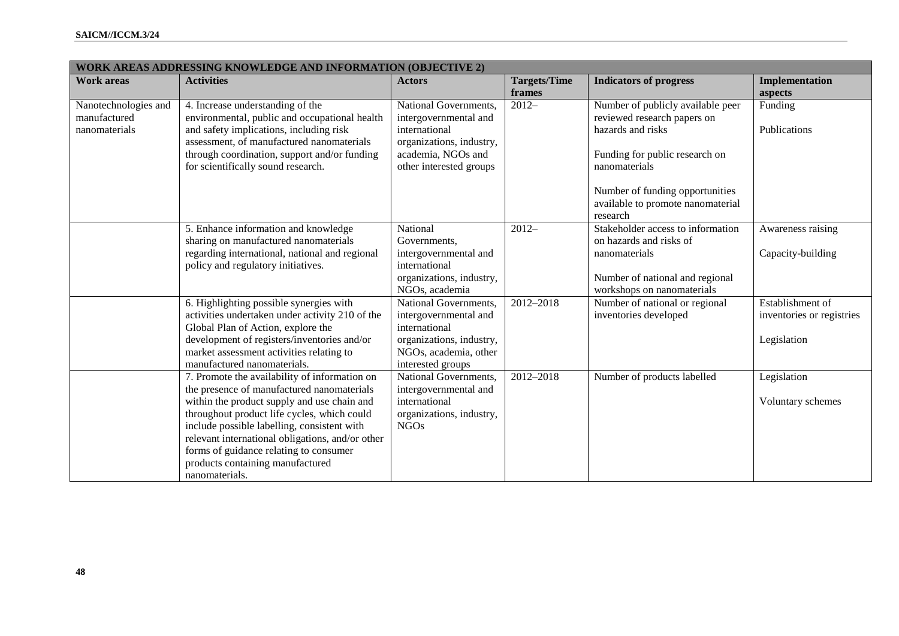|                      | <b>WORK AREAS ADDRESSING KNOWLEDGE AND INFORMATION (OBJECTIVE 2)</b> |                          |                     |                                   |                           |
|----------------------|----------------------------------------------------------------------|--------------------------|---------------------|-----------------------------------|---------------------------|
| <b>Work areas</b>    | <b>Activities</b>                                                    | <b>Actors</b>            | <b>Targets/Time</b> | <b>Indicators of progress</b>     | Implementation            |
|                      |                                                                      |                          | frames              |                                   | aspects                   |
| Nanotechnologies and | 4. Increase understanding of the                                     | National Governments,    | $2012 -$            | Number of publicly available peer | Funding                   |
| manufactured         | environmental, public and occupational health                        | intergovernmental and    |                     | reviewed research papers on       |                           |
| nanomaterials        | and safety implications, including risk                              | international            |                     | hazards and risks                 | Publications              |
|                      | assessment, of manufactured nanomaterials                            | organizations, industry, |                     |                                   |                           |
|                      | through coordination, support and/or funding                         | academia, NGOs and       |                     | Funding for public research on    |                           |
|                      | for scientifically sound research.                                   | other interested groups  |                     | nanomaterials                     |                           |
|                      |                                                                      |                          |                     | Number of funding opportunities   |                           |
|                      |                                                                      |                          |                     | available to promote nanomaterial |                           |
|                      |                                                                      |                          |                     | research                          |                           |
|                      | 5. Enhance information and knowledge                                 | National                 | $2012 -$            | Stakeholder access to information | Awareness raising         |
|                      | sharing on manufactured nanomaterials                                | Governments,             |                     | on hazards and risks of           |                           |
|                      | regarding international, national and regional                       | intergovernmental and    |                     | nanomaterials                     | Capacity-building         |
|                      | policy and regulatory initiatives.                                   | international            |                     |                                   |                           |
|                      |                                                                      | organizations, industry, |                     | Number of national and regional   |                           |
|                      |                                                                      | NGOs, academia           |                     | workshops on nanomaterials        |                           |
|                      | 6. Highlighting possible synergies with                              | National Governments,    | $2012 - 2018$       | Number of national or regional    | Establishment of          |
|                      | activities undertaken under activity 210 of the                      | intergovernmental and    |                     | inventories developed             | inventories or registries |
|                      | Global Plan of Action, explore the                                   | international            |                     |                                   |                           |
|                      | development of registers/inventories and/or                          | organizations, industry, |                     |                                   | Legislation               |
|                      | market assessment activities relating to                             | NGOs, academia, other    |                     |                                   |                           |
|                      | manufactured nanomaterials.                                          | interested groups        |                     |                                   |                           |
|                      | 7. Promote the availability of information on                        | National Governments,    | 2012-2018           | Number of products labelled       | Legislation               |
|                      | the presence of manufactured nanomaterials                           | intergovernmental and    |                     |                                   |                           |
|                      | within the product supply and use chain and                          | international            |                     |                                   | Voluntary schemes         |
|                      | throughout product life cycles, which could                          | organizations, industry, |                     |                                   |                           |
|                      | include possible labelling, consistent with                          | <b>NGOs</b>              |                     |                                   |                           |
|                      | relevant international obligations, and/or other                     |                          |                     |                                   |                           |
|                      | forms of guidance relating to consumer                               |                          |                     |                                   |                           |
|                      | products containing manufactured                                     |                          |                     |                                   |                           |
|                      | nanomaterials.                                                       |                          |                     |                                   |                           |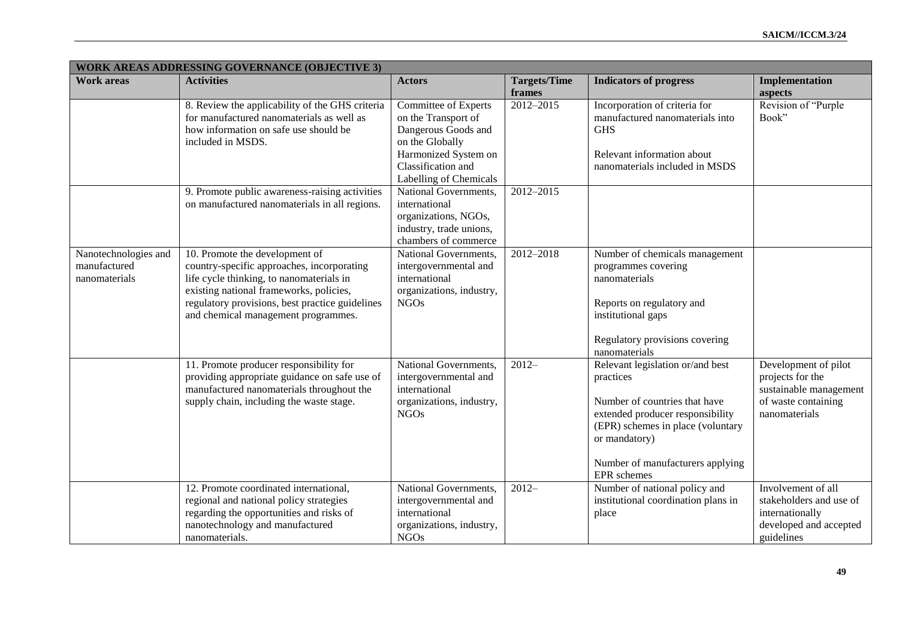|                                                       | <b>WORK AREAS ADDRESSING GOVERNANCE (OBJECTIVE 3)</b>                                                                                                                                                                                                         |                                                                                                                                                               |                               |                                                                                                                                                                                                                                    |                                                                                                            |  |
|-------------------------------------------------------|---------------------------------------------------------------------------------------------------------------------------------------------------------------------------------------------------------------------------------------------------------------|---------------------------------------------------------------------------------------------------------------------------------------------------------------|-------------------------------|------------------------------------------------------------------------------------------------------------------------------------------------------------------------------------------------------------------------------------|------------------------------------------------------------------------------------------------------------|--|
| <b>Work areas</b>                                     | <b>Activities</b>                                                                                                                                                                                                                                             | <b>Actors</b>                                                                                                                                                 | <b>Targets/Time</b><br>frames | <b>Indicators of progress</b>                                                                                                                                                                                                      | Implementation<br>aspects                                                                                  |  |
|                                                       | 8. Review the applicability of the GHS criteria<br>for manufactured nanomaterials as well as<br>how information on safe use should be<br>included in MSDS.                                                                                                    | Committee of Experts<br>on the Transport of<br>Dangerous Goods and<br>on the Globally<br>Harmonized System on<br>Classification and<br>Labelling of Chemicals | 2012-2015                     | Incorporation of criteria for<br>manufactured nanomaterials into<br><b>GHS</b><br>Relevant information about<br>nanomaterials included in MSDS                                                                                     | Revision of "Purple"<br>Book"                                                                              |  |
|                                                       | 9. Promote public awareness-raising activities<br>on manufactured nanomaterials in all regions.                                                                                                                                                               | National Governments,<br>international<br>organizations, NGOs,<br>industry, trade unions,<br>chambers of commerce                                             | 2012-2015                     |                                                                                                                                                                                                                                    |                                                                                                            |  |
| Nanotechnologies and<br>manufactured<br>nanomaterials | 10. Promote the development of<br>country-specific approaches, incorporating<br>life cycle thinking, to nanomaterials in<br>existing national frameworks, policies,<br>regulatory provisions, best practice guidelines<br>and chemical management programmes. | National Governments,<br>intergovernmental and<br>international<br>organizations, industry,<br><b>NGOs</b>                                                    | 2012-2018                     | Number of chemicals management<br>programmes covering<br>nanomaterials<br>Reports on regulatory and<br>institutional gaps<br>Regulatory provisions covering<br>nanomaterials                                                       |                                                                                                            |  |
|                                                       | 11. Promote producer responsibility for<br>providing appropriate guidance on safe use of<br>manufactured nanomaterials throughout the<br>supply chain, including the waste stage.                                                                             | National Governments,<br>intergovernmental and<br>international<br>organizations, industry,<br><b>NGOs</b>                                                    | $2012 -$                      | Relevant legislation or/and best<br>practices<br>Number of countries that have<br>extended producer responsibility<br>(EPR) schemes in place (voluntary<br>or mandatory)<br>Number of manufacturers applying<br><b>EPR</b> schemes | Development of pilot<br>projects for the<br>sustainable management<br>of waste containing<br>nanomaterials |  |
|                                                       | 12. Promote coordinated international,<br>regional and national policy strategies<br>regarding the opportunities and risks of<br>nanotechnology and manufactured<br>nanomaterials.                                                                            | National Governments,<br>intergovernmental and<br>international<br>organizations, industry,<br><b>NGOs</b>                                                    | $\overline{2012}$             | Number of national policy and<br>institutional coordination plans in<br>place                                                                                                                                                      | Involvement of all<br>stakeholders and use of<br>internationally<br>developed and accepted<br>guidelines   |  |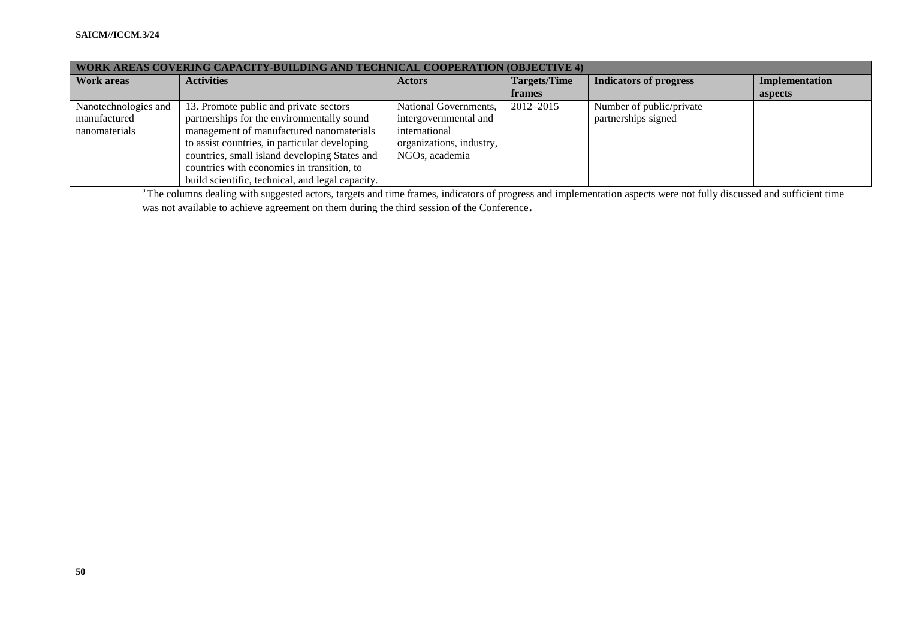| <b>WORK AREAS COVERING CAPACITY-BUILDING AND TECHNICAL COOPERATION (OBJECTIVE 4)</b> |                                                                                                                                                                                                                                                                                                                                      |                                                                                                               |                     |                                                 |                |
|--------------------------------------------------------------------------------------|--------------------------------------------------------------------------------------------------------------------------------------------------------------------------------------------------------------------------------------------------------------------------------------------------------------------------------------|---------------------------------------------------------------------------------------------------------------|---------------------|-------------------------------------------------|----------------|
| <b>Work areas</b>                                                                    | <b>Activities</b>                                                                                                                                                                                                                                                                                                                    | <b>Actors</b>                                                                                                 | <b>Targets/Time</b> | <b>Indicators of progress</b>                   | Implementation |
|                                                                                      |                                                                                                                                                                                                                                                                                                                                      |                                                                                                               | frames              |                                                 | aspects        |
| Nanotechnologies and<br>manufactured<br>nanomaterials                                | 13. Promote public and private sectors<br>partnerships for the environmentally sound<br>management of manufactured nanomaterials<br>to assist countries, in particular developing<br>countries, small island developing States and<br>countries with economies in transition, to<br>build scientific, technical, and legal capacity. | National Governments,<br>intergovernmental and<br>international<br>organizations, industry,<br>NGOs, academia | 2012-2015           | Number of public/private<br>partnerships signed |                |

<sup>a</sup>The columns dealing with suggested actors, targets and time frames, indicators of progress and implementation aspects were not fully discussed and sufficient time was not available to achieve agreement on them during the third session of the Conference**.**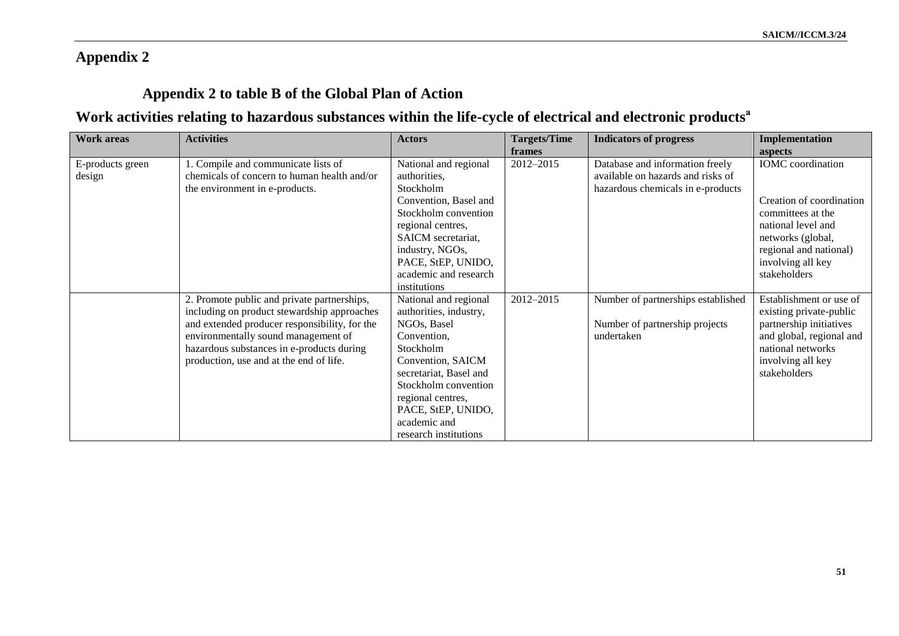### **Appendix 2**

### **Appendix 2 to table B of the Global Plan of Action**

## **Work activities relating to hazardous substances within the life-cycle of electrical and electronic products<sup>a</sup>**

| <b>Work areas</b> | <b>Activities</b>                             | <b>Actors</b>          | <b>Targets/Time</b> | <b>Indicators of progress</b>      | <b>Implementation</b>    |
|-------------------|-----------------------------------------------|------------------------|---------------------|------------------------------------|--------------------------|
|                   |                                               |                        | frames              |                                    | aspects                  |
| E-products green  | 1. Compile and communicate lists of           | National and regional  | 2012-2015           | Database and information freely    | <b>IOMC</b> coordination |
| design            | chemicals of concern to human health and/or   | authorities,           |                     | available on hazards and risks of  |                          |
|                   | the environment in e-products.                | Stockholm              |                     | hazardous chemicals in e-products  |                          |
|                   |                                               | Convention, Basel and  |                     |                                    | Creation of coordination |
|                   |                                               | Stockholm convention   |                     |                                    | committees at the        |
|                   |                                               | regional centres,      |                     |                                    | national level and       |
|                   |                                               | SAICM secretariat,     |                     |                                    | networks (global,        |
|                   |                                               | industry, NGOs,        |                     |                                    | regional and national)   |
|                   |                                               | PACE, StEP, UNIDO,     |                     |                                    | involving all key        |
|                   |                                               | academic and research  |                     |                                    | stakeholders             |
|                   |                                               | institutions           |                     |                                    |                          |
|                   | 2. Promote public and private partnerships,   | National and regional  | 2012-2015           | Number of partnerships established | Establishment or use of  |
|                   | including on product stewardship approaches   | authorities, industry, |                     |                                    | existing private-public  |
|                   | and extended producer responsibility, for the | NGOs, Basel            |                     | Number of partnership projects     | partnership initiatives  |
|                   | environmentally sound management of           | Convention,            |                     | undertaken                         | and global, regional and |
|                   | hazardous substances in e-products during     | Stockholm              |                     |                                    | national networks        |
|                   | production, use and at the end of life.       | Convention, SAICM      |                     |                                    | involving all key        |
|                   |                                               | secretariat, Basel and |                     |                                    | stakeholders             |
|                   |                                               | Stockholm convention   |                     |                                    |                          |
|                   |                                               | regional centres,      |                     |                                    |                          |
|                   |                                               | PACE, StEP, UNIDO,     |                     |                                    |                          |
|                   |                                               | academic and           |                     |                                    |                          |
|                   |                                               | research institutions  |                     |                                    |                          |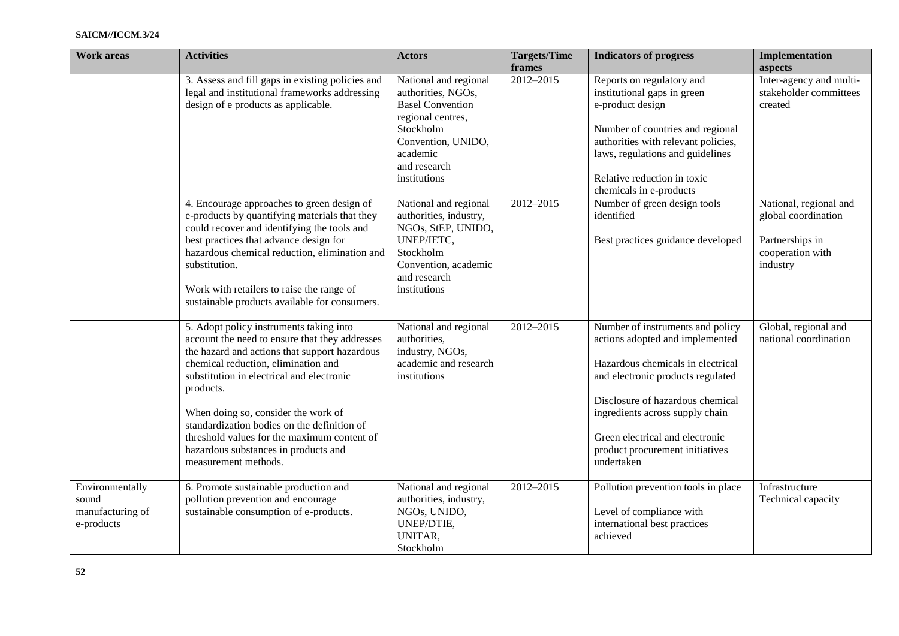#### **SAICM//ICCM.3/24**

| <b>Work areas</b>                                          | <b>Activities</b>                                                                                                                                                                                                                                                                                                                                                                                                                                | <b>Actors</b>                                                                                                                                                              | <b>Targets/Time</b><br>frames | <b>Indicators of progress</b>                                                                                                                                                                                                                                                                            | Implementation<br>aspects                                                                        |
|------------------------------------------------------------|--------------------------------------------------------------------------------------------------------------------------------------------------------------------------------------------------------------------------------------------------------------------------------------------------------------------------------------------------------------------------------------------------------------------------------------------------|----------------------------------------------------------------------------------------------------------------------------------------------------------------------------|-------------------------------|----------------------------------------------------------------------------------------------------------------------------------------------------------------------------------------------------------------------------------------------------------------------------------------------------------|--------------------------------------------------------------------------------------------------|
|                                                            | 3. Assess and fill gaps in existing policies and<br>legal and institutional frameworks addressing<br>design of e products as applicable.                                                                                                                                                                                                                                                                                                         | National and regional<br>authorities, NGOs,<br><b>Basel Convention</b><br>regional centres,<br>Stockholm<br>Convention, UNIDO,<br>academic<br>and research<br>institutions | 2012-2015                     | Reports on regulatory and<br>institutional gaps in green<br>e-product design<br>Number of countries and regional<br>authorities with relevant policies,<br>laws, regulations and guidelines<br>Relative reduction in toxic<br>chemicals in e-products                                                    | Inter-agency and multi-<br>stakeholder committees<br>created                                     |
|                                                            | 4. Encourage approaches to green design of<br>e-products by quantifying materials that they<br>could recover and identifying the tools and<br>best practices that advance design for<br>hazardous chemical reduction, elimination and<br>substitution.<br>Work with retailers to raise the range of<br>sustainable products available for consumers.                                                                                             | National and regional<br>authorities, industry,<br>NGOs, StEP, UNIDO,<br>UNEP/IETC,<br>Stockholm<br>Convention, academic<br>and research<br>institutions                   | 2012-2015                     | Number of green design tools<br>identified<br>Best practices guidance developed                                                                                                                                                                                                                          | National, regional and<br>global coordination<br>Partnerships in<br>cooperation with<br>industry |
|                                                            | 5. Adopt policy instruments taking into<br>account the need to ensure that they addresses<br>the hazard and actions that support hazardous<br>chemical reduction, elimination and<br>substitution in electrical and electronic<br>products.<br>When doing so, consider the work of<br>standardization bodies on the definition of<br>threshold values for the maximum content of<br>hazardous substances in products and<br>measurement methods. | National and regional<br>authorities,<br>industry, NGOs,<br>academic and research<br>institutions                                                                          | $2012 - 2015$                 | Number of instruments and policy<br>actions adopted and implemented<br>Hazardous chemicals in electrical<br>and electronic products regulated<br>Disclosure of hazardous chemical<br>ingredients across supply chain<br>Green electrical and electronic<br>product procurement initiatives<br>undertaken | Global, regional and<br>national coordination                                                    |
| Environmentally<br>sound<br>manufacturing of<br>e-products | 6. Promote sustainable production and<br>pollution prevention and encourage<br>sustainable consumption of e-products.                                                                                                                                                                                                                                                                                                                            | National and regional<br>authorities, industry,<br>NGOs, UNIDO,<br>UNEP/DTIE,<br>UNITAR,<br>Stockholm                                                                      | 2012-2015                     | Pollution prevention tools in place<br>Level of compliance with<br>international best practices<br>achieved                                                                                                                                                                                              | Infrastructure<br>Technical capacity                                                             |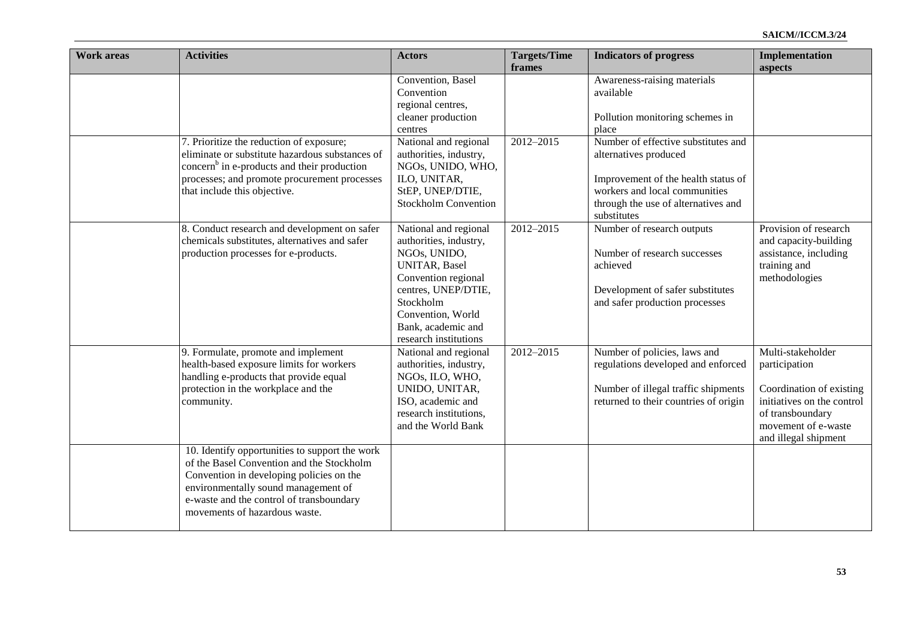| <b>Work areas</b> | <b>Activities</b>                                                                                                                                                                                                                                           | <b>Actors</b>                                                                                                                                                                                                          | <b>Targets/Time</b><br>frames | <b>Indicators of progress</b>                                                                                                                                                              | <b>Implementation</b><br>aspects                                                                                                                                |
|-------------------|-------------------------------------------------------------------------------------------------------------------------------------------------------------------------------------------------------------------------------------------------------------|------------------------------------------------------------------------------------------------------------------------------------------------------------------------------------------------------------------------|-------------------------------|--------------------------------------------------------------------------------------------------------------------------------------------------------------------------------------------|-----------------------------------------------------------------------------------------------------------------------------------------------------------------|
|                   |                                                                                                                                                                                                                                                             | Convention, Basel<br>Convention<br>regional centres,<br>cleaner production<br>centres                                                                                                                                  |                               | Awareness-raising materials<br>available<br>Pollution monitoring schemes in<br>place                                                                                                       |                                                                                                                                                                 |
|                   | 7. Prioritize the reduction of exposure;<br>eliminate or substitute hazardous substances of<br>concern <sup>b</sup> in e-products and their production<br>processes; and promote procurement processes<br>that include this objective.                      | National and regional<br>authorities, industry,<br>NGOs, UNIDO, WHO,<br>ILO, UNITAR,<br>StEP, UNEP/DTIE,<br><b>Stockholm Convention</b>                                                                                | 2012-2015                     | Number of effective substitutes and<br>alternatives produced<br>Improvement of the health status of<br>workers and local communities<br>through the use of alternatives and<br>substitutes |                                                                                                                                                                 |
|                   | 8. Conduct research and development on safer<br>chemicals substitutes, alternatives and safer<br>production processes for e-products.                                                                                                                       | National and regional<br>authorities, industry,<br>NGOs, UNIDO,<br><b>UNITAR, Basel</b><br>Convention regional<br>centres, UNEP/DTIE,<br>Stockholm<br>Convention, World<br>Bank, academic and<br>research institutions | 2012-2015                     | Number of research outputs<br>Number of research successes<br>achieved<br>Development of safer substitutes<br>and safer production processes                                               | Provision of research<br>and capacity-building<br>assistance, including<br>training and<br>methodologies                                                        |
|                   | 9. Formulate, promote and implement<br>health-based exposure limits for workers<br>handling e-products that provide equal<br>protection in the workplace and the<br>community.                                                                              | National and regional<br>authorities, industry,<br>NGOs, ILO, WHO,<br>UNIDO, UNITAR,<br>ISO, academic and<br>research institutions,<br>and the World Bank                                                              | 2012-2015                     | Number of policies, laws and<br>regulations developed and enforced<br>Number of illegal traffic shipments<br>returned to their countries of origin                                         | Multi-stakeholder<br>participation<br>Coordination of existing<br>initiatives on the control<br>of transboundary<br>movement of e-waste<br>and illegal shipment |
|                   | 10. Identify opportunities to support the work<br>of the Basel Convention and the Stockholm<br>Convention in developing policies on the<br>environmentally sound management of<br>e-waste and the control of transboundary<br>movements of hazardous waste. |                                                                                                                                                                                                                        |                               |                                                                                                                                                                                            |                                                                                                                                                                 |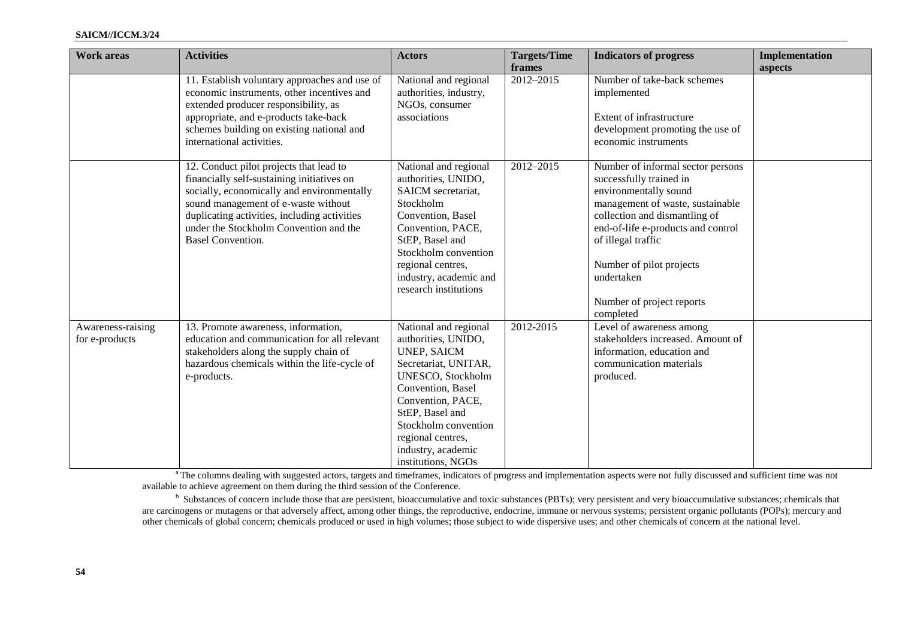| <b>Work areas</b>                   | <b>Activities</b>                                                                                                                                                                                                                                                                                | <b>Actors</b>                                                                                                                                                                                                                                                         | <b>Targets/Time</b><br>frames | <b>Indicators of progress</b>                                                                                                                                                                                                                                                                              | <b>Implementation</b><br>aspects |
|-------------------------------------|--------------------------------------------------------------------------------------------------------------------------------------------------------------------------------------------------------------------------------------------------------------------------------------------------|-----------------------------------------------------------------------------------------------------------------------------------------------------------------------------------------------------------------------------------------------------------------------|-------------------------------|------------------------------------------------------------------------------------------------------------------------------------------------------------------------------------------------------------------------------------------------------------------------------------------------------------|----------------------------------|
|                                     | 11. Establish voluntary approaches and use of<br>economic instruments, other incentives and<br>extended producer responsibility, as<br>appropriate, and e-products take-back<br>schemes building on existing national and<br>international activities.                                           | National and regional<br>authorities, industry,<br>NGOs, consumer<br>associations                                                                                                                                                                                     | 2012-2015                     | Number of take-back schemes<br>implemented<br>Extent of infrastructure<br>development promoting the use of<br>economic instruments                                                                                                                                                                         |                                  |
|                                     | 12. Conduct pilot projects that lead to<br>financially self-sustaining initiatives on<br>socially, economically and environmentally<br>sound management of e-waste without<br>duplicating activities, including activities<br>under the Stockholm Convention and the<br><b>Basel Convention.</b> | National and regional<br>authorities, UNIDO,<br>SAICM secretariat,<br>Stockholm<br>Convention, Basel<br>Convention, PACE,<br>StEP, Basel and<br>Stockholm convention<br>regional centres,<br>industry, academic and<br>research institutions                          | 2012-2015                     | Number of informal sector persons<br>successfully trained in<br>environmentally sound<br>management of waste, sustainable<br>collection and dismantling of<br>end-of-life e-products and control<br>of illegal traffic<br>Number of pilot projects<br>undertaken<br>Number of project reports<br>completed |                                  |
| Awareness-raising<br>for e-products | 13. Promote awareness, information,<br>education and communication for all relevant<br>stakeholders along the supply chain of<br>hazardous chemicals within the life-cycle of<br>e-products.                                                                                                     | National and regional<br>authorities, UNIDO,<br><b>UNEP, SAICM</b><br>Secretariat, UNITAR,<br>UNESCO, Stockholm<br>Convention, Basel<br>Convention, PACE,<br>StEP, Basel and<br>Stockholm convention<br>regional centres,<br>industry, academic<br>institutions, NGOs | 2012-2015                     | Level of awareness among<br>stakeholders increased. Amount of<br>information, education and<br>communication materials<br>produced.                                                                                                                                                                        |                                  |

<sup>a</sup> The columns dealing with suggested actors, targets and timeframes, indicators of progress and implementation aspects were not fully discussed and sufficient time was not available to achieve agreement on them during the third session of the Conference.

<sup>b</sup> Substances of concern include those that are persistent, bioaccumulative and toxic substances (PBTs); very persistent and very bioaccumulative substances; chemicals that are carcinogens or mutagens or that adversely affect, among other things, the reproductive, endocrine, immune or nervous systems; persistent organic pollutants (POPs); mercury and other chemicals of global concern; chemicals produced or used in high volumes; those subject to wide dispersive uses; and other chemicals of concern at the national level.